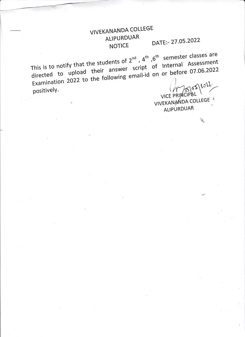## **VIVEKANANDA COLLEGE** ALIPURDUAR DATE:- 27.05.2022 **NOTICE**

This is to notify that the students of 2<sup>nd</sup>, 4<sup>th</sup>, 6<sup>th</sup> semester classes are directed to upload their answer script of Internal Assessment Examination 2022 to the following email-id on or before 07.06.2022 positively.

VICE PRINCIPAL

VIVEKANANDA COLLEGE ALIPURDUAR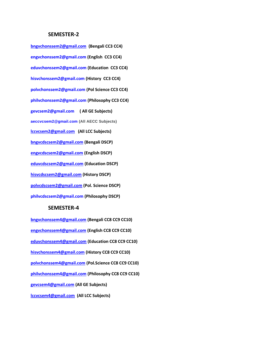#### **SEMESTER-2**

**[bngvchonssem2@gmail.com](mailto:bngvchonssem2@gmail.com) (Bengali CC3 CC4) [engvchonssem2@gmail.com](mailto:engvchonssem2@gmail.com) (English CC3 CC4) [eduvchonssem2@gmail.com](mailto:eduvchonssem2@gmail.com) (Education CC3 CC4) [hisvchonssem2@gmail.com](mailto:hisvchonssem2@gmail.com) (History CC3 CC4) [polvchonssem2@gmail.com](mailto:polvchonssem2@gmail.com) (Pol Science CC3 CC4) [philvchonssem2@gmail.com](mailto:philvchonssem2@gmail.com) (Philosophy CC3 CC4) [gevcsem2@gmail.com](mailto:gevcsem2@gmail.com) ( All GE Subjects) [aeccvcsem2@gmail.com](mailto:aeccvcsem2@gmail.com) (All AECC Subjects) [lccvcsem2@gmail.com](mailto:lccvcsem2@gmail.com) (All LCC Subjects) [bngvcdscsem2@gmail.com](mailto:bngvcdscsem2@gmail.com) (Bengali DSCP) [engvcdscsem2@gmail.com](mailto:engvcdscsem2@gmail.com) (English DSCP) [eduvcdscsem2@gmail.com](mailto:eduvcdscsem2@gmail.com) (Education DSCP) [hisvcdscsem2@gmail.com](mailto:hisvcdscsem2@gmail.com) (History DSCP) [polvcdscsem2@gmail.com](mailto:polvcdscsem2@gmail.com) (Pol. Science DSCP) [philvcdscsem2@gmail.com](mailto:philvcdscsem2@gmail.com) (Philosophy DSCP)**

### **SEMESTER-4**

**[bngvchonssem4@gmail.com](mailto:bngvchonssem4@gmail.com) (Bengali CC8 CC9 CC10) [engvchonssem4@gmail.com](mailto:engvchonssem4@gmail.com) (English CC8 CC9 CC10) [eduvchonssem4@gmail.com](mailto:eduvchonssem4@gmail.com) (Education CC8 CC9 CC10) [hisvchonssem4@gmail.com](mailto:hisvchonssem4@gmail.com) (History CC8 CC9 CC10) [polvchonssem4@gmail.com](mailto:polvchonssem4@gmail.com) (Pol.Science CC8 CC9 CC10) [philvchonssem4@gmail.com](mailto:philvchonssem4@gmail.com) (Philosophy CC8 CC9 CC10) [gevcsem4@gmail.com](mailto:gevcsem4@gmail.com) (All GE Subjects) [lccvcsem4@gmail.com](mailto:lccvcsem4@gmail.com) (All LCC Subjects)**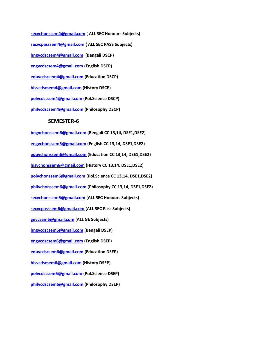**[secvchonssem4@gmail.com](mailto:secvchonssem4@gmail.com) ( ALL SEC Honours Subjects) [secvcpasssem4@gmail.com](mailto:secvcpasssem4@gmail.com) ( ALL SEC PASS Subjects) [bngvcdscsem4@gmail.com](mailto:bngvcdscsem4@gmail.com) (Bengali DSCP) [engvcdscsem4@gmail.com](mailto:engvcdscsem4@gmail.com) (English DSCP) [eduvcdscsem4@gmail.com](mailto:eduvcdscsem4@gmail.com) (Education DSCP) [hisvcdscsem4@gmail.com](mailto:hisvcdscsem4@gmail.com) (History DSCP) [polvcdscsem4@gmail.com](mailto:polvcdscsem4@gmail.com) (Pol.Science DSCP) [philvcdscsem4@gmail.com](mailto:philvcdscsem4@gmail.com) (Philosophy DSCP)**

#### **SEMESTER-6**

**[bngvchonssem6@gmail.com](mailto:bngvchonssem6@gmail.com) (Bengali CC 13,14, DSE1,DSE2) [engvchonssem6@gmail.com](mailto:engvchonssem6@gmail.com) (English CC 13,14, DSE1,DSE2) [eduvchonssem6@gmail.com](mailto:eduvchonssem6@gmail.com) (Education CC 13,14, DSE1,DSE2) [hisvchonssem6@gmail.com](mailto:hisvchonssem6@gmail.com) (History CC 13,14, DSE1,DSE2) [polvchonssem6@gmail.com](mailto:polvchonssem6@gmail.com) (Pol.Science CC 13,14, DSE1,DSE2) [philvchonssem6@gmail.com](mailto:philvchonssem6@gmail.com) (Philosophy CC 13,14, DSE1,DSE2) [secvchonssem6@gmail.com](mailto:secvchonssem6@gmail.com) (ALL SEC Honours Subjects) [secvcpasssem6@gmail.com](mailto:secvcpasssem6@gmail.com) (ALL SEC Pass Subjects) [gevcsem6@gmail.com](mailto:gevcsem6@gmail.com) (ALL GE Subjects) [bngvcdscsem6@gmail.com](mailto:bngvcdscsem6@gmail.com) (Bengali DSEP) [engvcdscsem6@gmail.com](mailto:engvcdscsem6@gmail.com) (English DSEP) [eduvcdscsem6@gmail.com](mailto:eduvcdscsem6@gmail.com) (Education DSEP) [hisvcdscsem6@gmail.com](mailto:hisvcdscsem6@gmail.com) (History DSEP) [polvcdscsem6@gmail.com](mailto:polvcdscsem6@gmail.com) (Pol.Science DSEP) [philvcdscsem6@gmail.com](mailto:philvcdscsem6@gmail.com) (Philosophy DSEP)**